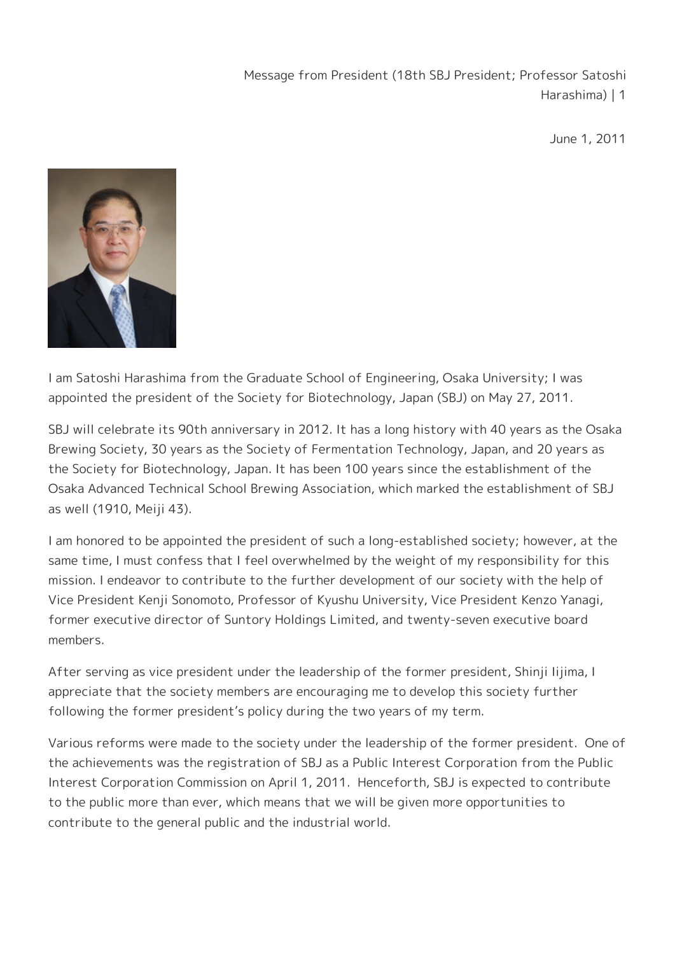Message from President (18th SBJ President; Professor Satoshi Harashima) | 1

June 1, 2011



I am Satoshi Harashima from the Graduate School of Engineering, Osaka University; I was appointed the president of the Society for Biotechnology, Japan (SBJ) on May 27, 2011.

SBJ will celebrate its 90th anniversary in 2012. It has a long history with 40 years as the Osaka Brewing Society, 30 years as the Society of Fermentation Technology, Japan, and 20 years as the Society for Biotechnology, Japan. It has been 100 years since the establishment of the Osaka Advanced Technical School Brewing Association, which marked the establishment of SBJ as well (1910, Meiji 43).

I am honored to be appointed the president of such a long-established society; however, at the same time, I must confess that I feel overwhelmed by the weight of my responsibility for this mission. I endeavor to contribute to the further development of our society with the help of Vice President Kenji Sonomoto, Professor of Kyushu University, Vice President Kenzo Yanagi, former executive director of Suntory Holdings Limited, and twenty-seven executive board members.

After serving as vice president under the leadership of the former president, Shinji Iijima, I appreciate that the society members are encouraging me to develop this society further following the former president's policy during the two years of my term.

Various reforms were made to the society under the leadership of the former president. One of the achievements was the registration of SBJ as a Public Interest Corporation from the Public Interest Corporation Commission on April 1, 2011. Henceforth, SBJ is expected to contribute to the public more than ever, which means that we will be given more opportunities to contribute to the general public and the industrial world.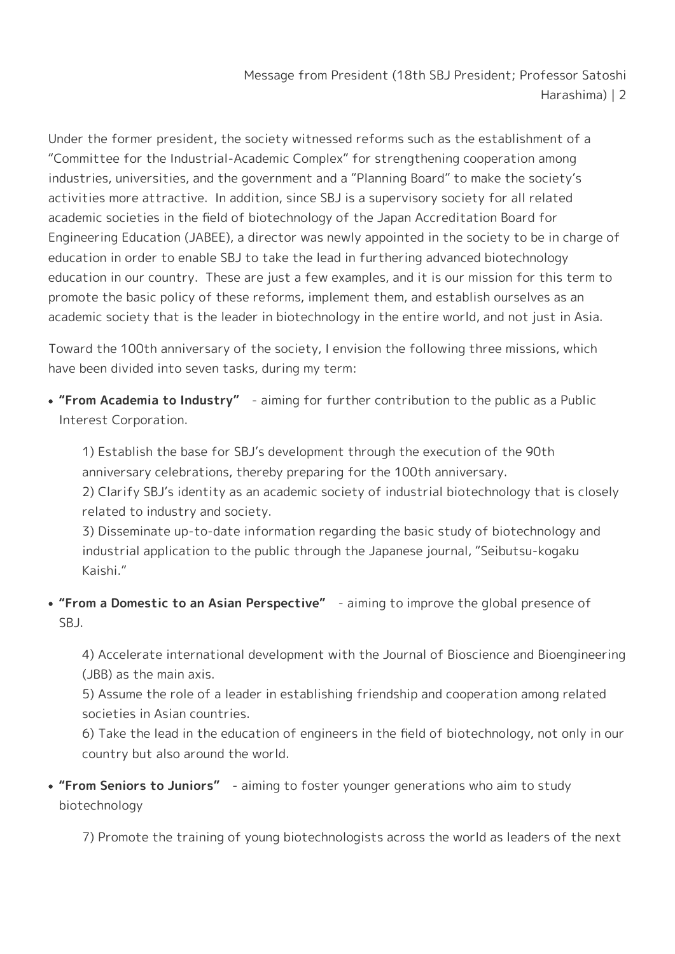Message from President (18th SBJ President; Professor Satoshi Harashima) | 2

Under the former president, the society witnessed reforms such as the establishment of a "Committee for the Industrial-Academic Complex" for strengthening cooperation among industries, universities, and the government and a "Planning Board" to make the society's activities more attractive. In addition, since SBJ is a supervisory society for all related academic societies in the field of biotechnology of the Japan Accreditation Board for Engineering Education (JABEE), a director was newly appointed in the society to be in charge of education in order to enable SBJ to take the lead in furthering advanced biotechnology education in our country. These are just a few examples, and it is our mission for this term to promote the basic policy of these reforms, implement them, and establish ourselves as an academic society that is the leader in biotechnology in the entire world, and not just in Asia.

Toward the 100th anniversary of the society, I envision the following three missions, which have been divided into seven tasks, during my term:

**"From Academia to Industry"** - aiming for further contribution to the public as a Public Interest Corporation.

1) Establish the base for SBJ's development through the execution of the 90th anniversary celebrations, thereby preparing for the 100th anniversary. 2) Clarify SBJ's identity as an academic society of industrial biotechnology that is closely related to industry and society.

3) Disseminate up-to-date information regarding the basic study of biotechnology and industrial application to the public through the Japanese journal, "Seibutsu-kogaku Kaishi."

**"From a Domestic to an Asian Perspective"** - aiming to improve the global presence of SBJ.

4) Accelerate international development with the Journal of Bioscience and Bioengineering (JBB) as the main axis.

5) Assume the role of a leader in establishing friendship and cooperation among related societies in Asian countries.

6) Take the lead in the education of engineers in the field of biotechnology, not only in our country but also around the world.

**"From Seniors to Juniors"** - aiming to foster younger generations who aim to study biotechnology

7) Promote the training of young biotechnologists across the world as leaders of the next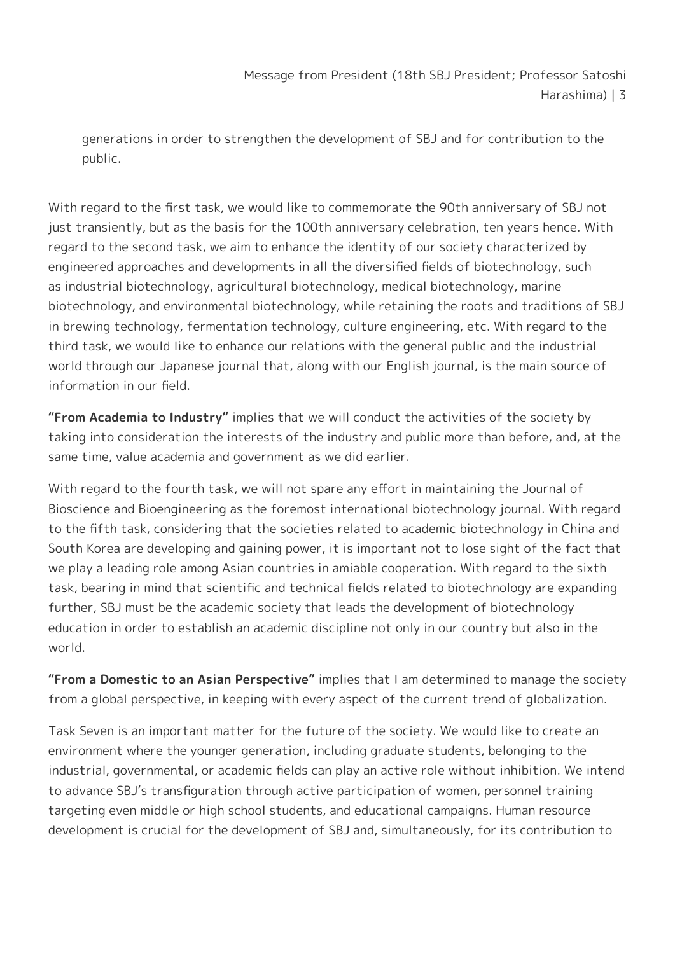Message from President (18th SBJ President; Professor Satoshi Harashima) | 3

generations in order to strengthen the development of SBJ and for contribution to the public.

With regard to the first task, we would like to commemorate the 90th anniversary of SBJ not just transiently, but as the basis for the 100th anniversary celebration, ten years hence. With regard to the second task, we aim to enhance the identity of our society characterized by engineered approaches and developments in all the diversified fields of biotechnology, such as industrial biotechnology, agricultural biotechnology, medical biotechnology, marine biotechnology, and environmental biotechnology, while retaining the roots and traditions of SBJ in brewing technology, fermentation technology, culture engineering, etc. With regard to the third task, we would like to enhance our relations with the general public and the industrial world through our Japanese journal that, along with our English journal, is the main source of information in our field.

**"From Academia to Industry"** implies that we will conduct the activities of the society by taking into consideration the interests of the industry and public more than before, and, at the same time, value academia and government as we did earlier.

With regard to the fourth task, we will not spare any effort in maintaining the Journal of Bioscience and Bioengineering as the foremost international biotechnology journal. With regard to the fifth task, considering that the societies related to academic biotechnology in China and South Korea are developing and gaining power, it is important not to lose sight of the fact that we play a leading role among Asian countries in amiable cooperation. With regard to the sixth task, bearing in mind that scientific and technical fields related to biotechnology are expanding further, SBJ must be the academic society that leads the development of biotechnology education in order to establish an academic discipline not only in our country but also in the world.

**"From a Domestic to an Asian Perspective"** implies that I am determined to manage the society from a global perspective, in keeping with every aspect of the current trend of globalization.

Task Seven is an important matter for the future of the society. We would like to create an environment where the younger generation, including graduate students, belonging to the industrial, governmental, or academic fields can play an active role without inhibition. We intend to advance SBJ's transfiguration through active participation of women, personnel training targeting even middle or high school students, and educational campaigns. Human resource development is crucial for the development of SBJ and, simultaneously, for its contribution to